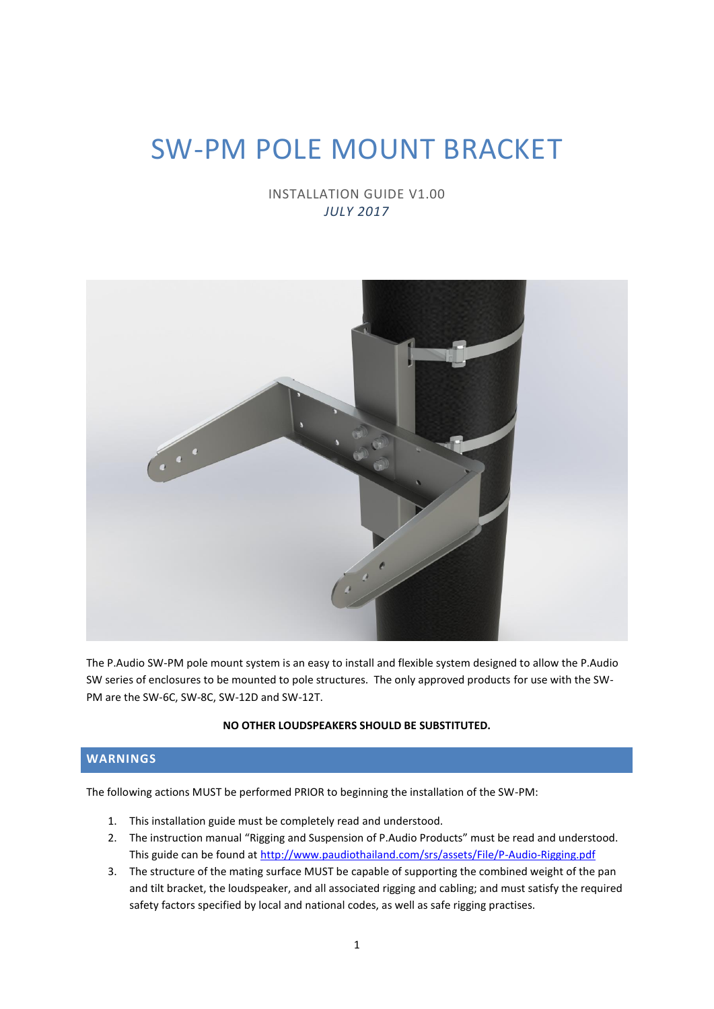# SW-PM POLE MOUNT BRACKET

INSTALLATION GUIDE V1.00 *JULY 2017*



The P.Audio SW-PM pole mount system is an easy to install and flexible system designed to allow the P.Audio SW series of enclosures to be mounted to pole structures. The only approved products for use with the SW-PM are the SW-6C, SW-8C, SW-12D and SW-12T.

#### **NO OTHER LOUDSPEAKERS SHOULD BE SUBSTITUTED.**

## **WARNINGS**

The following actions MUST be performed PRIOR to beginning the installation of the SW-PM:

- 1. This installation guide must be completely read and understood.
- 2. The instruction manual "Rigging and Suspension of P.Audio Products" must be read and understood. This guide can be found at<http://www.paudiothailand.com/srs/assets/File/P-Audio-Rigging.pdf>
- 3. The structure of the mating surface MUST be capable of supporting the combined weight of the pan and tilt bracket, the loudspeaker, and all associated rigging and cabling; and must satisfy the required safety factors specified by local and national codes, as well as safe rigging practises.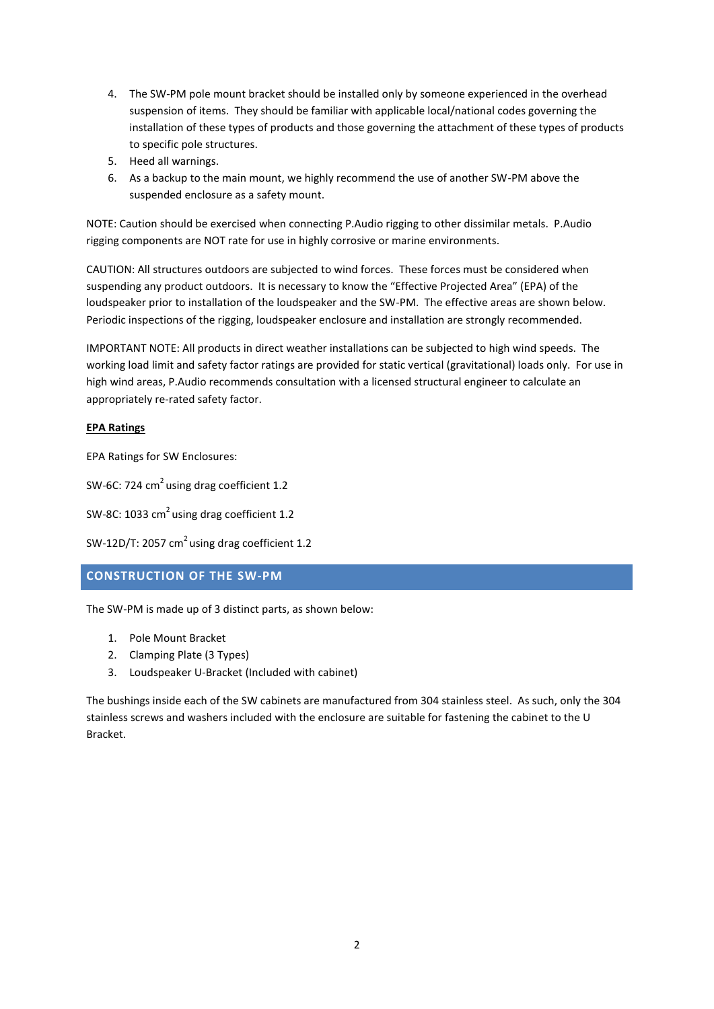- 4. The SW-PM pole mount bracket should be installed only by someone experienced in the overhead suspension of items. They should be familiar with applicable local/national codes governing the installation of these types of products and those governing the attachment of these types of products to specific pole structures.
- 5. Heed all warnings.
- 6. As a backup to the main mount, we highly recommend the use of another SW-PM above the suspended enclosure as a safety mount.

NOTE: Caution should be exercised when connecting P.Audio rigging to other dissimilar metals. P.Audio rigging components are NOT rate for use in highly corrosive or marine environments.

CAUTION: All structures outdoors are subjected to wind forces. These forces must be considered when suspending any product outdoors. It is necessary to know the "Effective Projected Area" (EPA) of the loudspeaker prior to installation of the loudspeaker and the SW-PM. The effective areas are shown below. Periodic inspections of the rigging, loudspeaker enclosure and installation are strongly recommended.

IMPORTANT NOTE: All products in direct weather installations can be subjected to high wind speeds. The working load limit and safety factor ratings are provided for static vertical (gravitational) loads only. For use in high wind areas, P.Audio recommends consultation with a licensed structural engineer to calculate an appropriately re-rated safety factor.

### **EPA Ratings**

EPA Ratings for SW Enclosures:

SW-6C: 724  $cm<sup>2</sup>$  using drag coefficient 1.2

SW-8C: 1033 cm<sup>2</sup> using drag coefficient 1.2

```
SW-12D/T: 2057 cm<sup>2</sup> using drag coefficient 1.2
```
## **CONSTRUCTION OF THE SW-PM**

The SW-PM is made up of 3 distinct parts, as shown below:

- 1. Pole Mount Bracket
- 2. Clamping Plate (3 Types)
- 3. Loudspeaker U-Bracket (Included with cabinet)

The bushings inside each of the SW cabinets are manufactured from 304 stainless steel. As such, only the 304 stainless screws and washers included with the enclosure are suitable for fastening the cabinet to the U Bracket.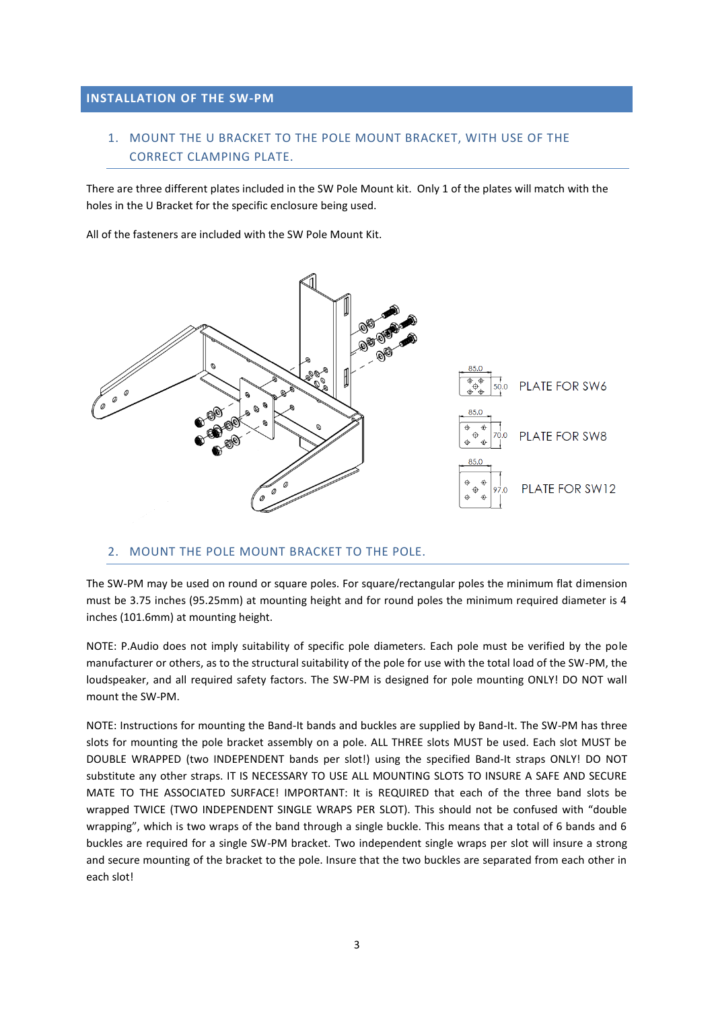## **INSTALLATION OF THE SW-PM**

## 1. MOUNT THE U BRACKET TO THE POLE MOUNT BRACKET, WITH USE OF THE CORRECT CLAMPING PLATE.

There are three different plates included in the SW Pole Mount kit. Only 1 of the plates will match with the holes in the U Bracket for the specific enclosure being used.

All of the fasteners are included with the SW Pole Mount Kit.



#### 2. MOUNT THE POLE MOUNT BRACKET TO THE POLE.

The SW-PM may be used on round or square poles. For square/rectangular poles the minimum flat dimension must be 3.75 inches (95.25mm) at mounting height and for round poles the minimum required diameter is 4 inches (101.6mm) at mounting height.

NOTE: P.Audio does not imply suitability of specific pole diameters. Each pole must be verified by the pole manufacturer or others, as to the structural suitability of the pole for use with the total load of the SW-PM, the loudspeaker, and all required safety factors. The SW-PM is designed for pole mounting ONLY! DO NOT wall mount the SW-PM.

NOTE: Instructions for mounting the Band-It bands and buckles are supplied by Band-It. The SW-PM has three slots for mounting the pole bracket assembly on a pole. ALL THREE slots MUST be used. Each slot MUST be DOUBLE WRAPPED (two INDEPENDENT bands per slot!) using the specified Band-It straps ONLY! DO NOT substitute any other straps. IT IS NECESSARY TO USE ALL MOUNTING SLOTS TO INSURE A SAFE AND SECURE MATE TO THE ASSOCIATED SURFACE! IMPORTANT: It is REQUIRED that each of the three band slots be wrapped TWICE (TWO INDEPENDENT SINGLE WRAPS PER SLOT). This should not be confused with "double wrapping", which is two wraps of the band through a single buckle. This means that a total of 6 bands and 6 buckles are required for a single SW-PM bracket. Two independent single wraps per slot will insure a strong and secure mounting of the bracket to the pole. Insure that the two buckles are separated from each other in each slot!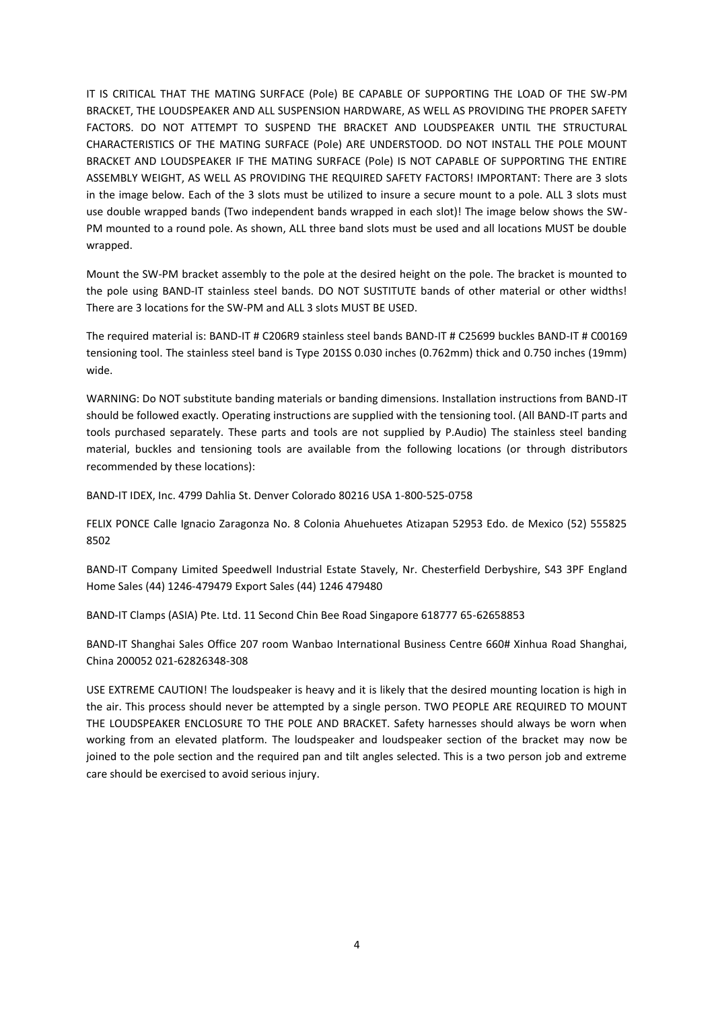IT IS CRITICAL THAT THE MATING SURFACE (Pole) BE CAPABLE OF SUPPORTING THE LOAD OF THE SW-PM BRACKET, THE LOUDSPEAKER AND ALL SUSPENSION HARDWARE, AS WELL AS PROVIDING THE PROPER SAFETY FACTORS. DO NOT ATTEMPT TO SUSPEND THE BRACKET AND LOUDSPEAKER UNTIL THE STRUCTURAL CHARACTERISTICS OF THE MATING SURFACE (Pole) ARE UNDERSTOOD. DO NOT INSTALL THE POLE MOUNT BRACKET AND LOUDSPEAKER IF THE MATING SURFACE (Pole) IS NOT CAPABLE OF SUPPORTING THE ENTIRE ASSEMBLY WEIGHT, AS WELL AS PROVIDING THE REQUIRED SAFETY FACTORS! IMPORTANT: There are 3 slots in the image below. Each of the 3 slots must be utilized to insure a secure mount to a pole. ALL 3 slots must use double wrapped bands (Two independent bands wrapped in each slot)! The image below shows the SW-PM mounted to a round pole. As shown, ALL three band slots must be used and all locations MUST be double wrapped.

Mount the SW-PM bracket assembly to the pole at the desired height on the pole. The bracket is mounted to the pole using BAND-IT stainless steel bands. DO NOT SUSTITUTE bands of other material or other widths! There are 3 locations for the SW-PM and ALL 3 slots MUST BE USED.

The required material is: BAND-IT # C206R9 stainless steel bands BAND-IT # C25699 buckles BAND-IT # C00169 tensioning tool. The stainless steel band is Type 201SS 0.030 inches (0.762mm) thick and 0.750 inches (19mm) wide.

WARNING: Do NOT substitute banding materials or banding dimensions. Installation instructions from BAND-IT should be followed exactly. Operating instructions are supplied with the tensioning tool. (All BAND-IT parts and tools purchased separately. These parts and tools are not supplied by P.Audio) The stainless steel banding material, buckles and tensioning tools are available from the following locations (or through distributors recommended by these locations):

BAND-IT IDEX, Inc. 4799 Dahlia St. Denver Colorado 80216 USA 1-800-525-0758

FELIX PONCE Calle Ignacio Zaragonza No. 8 Colonia Ahuehuetes Atizapan 52953 Edo. de Mexico (52) 555825 8502

BAND-IT Company Limited Speedwell Industrial Estate Stavely, Nr. Chesterfield Derbyshire, S43 3PF England Home Sales (44) 1246-479479 Export Sales (44) 1246 479480

BAND-IT Clamps (ASIA) Pte. Ltd. 11 Second Chin Bee Road Singapore 618777 65-62658853

BAND-IT Shanghai Sales Office 207 room Wanbao International Business Centre 660# Xinhua Road Shanghai, China 200052 021-62826348-308

USE EXTREME CAUTION! The loudspeaker is heavy and it is likely that the desired mounting location is high in the air. This process should never be attempted by a single person. TWO PEOPLE ARE REQUIRED TO MOUNT THE LOUDSPEAKER ENCLOSURE TO THE POLE AND BRACKET. Safety harnesses should always be worn when working from an elevated platform. The loudspeaker and loudspeaker section of the bracket may now be joined to the pole section and the required pan and tilt angles selected. This is a two person job and extreme care should be exercised to avoid serious injury.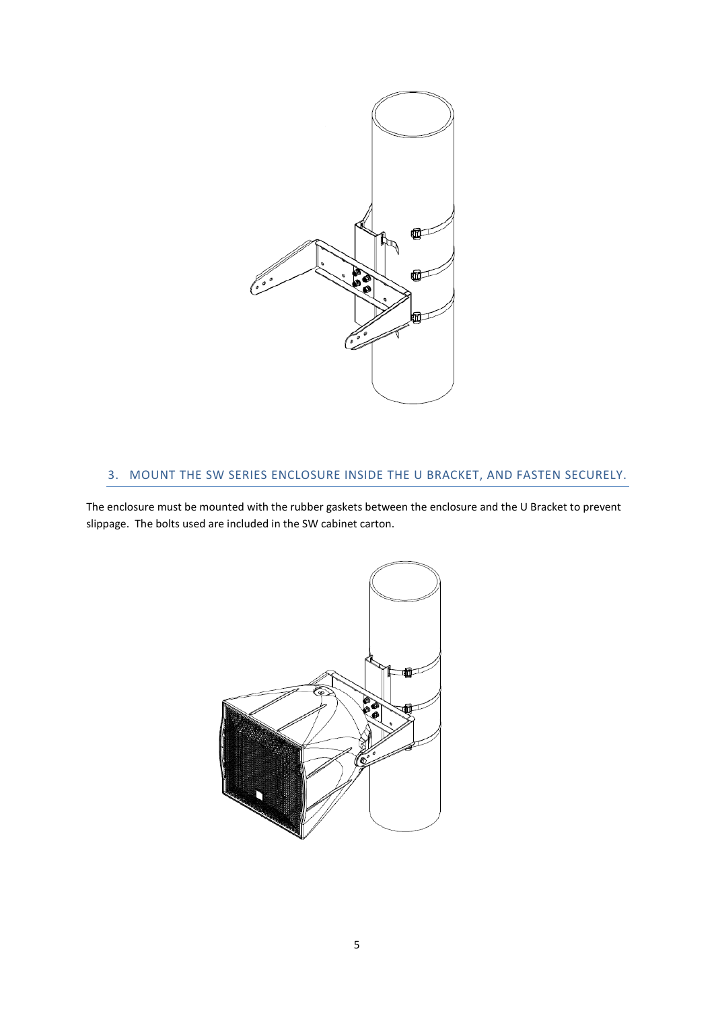

## 3. MOUNT THE SW SERIES ENCLOSURE INSIDE THE U BRACKET, AND FASTEN SECURELY.

The enclosure must be mounted with the rubber gaskets between the enclosure and the U Bracket to prevent slippage. The bolts used are included in the SW cabinet carton.